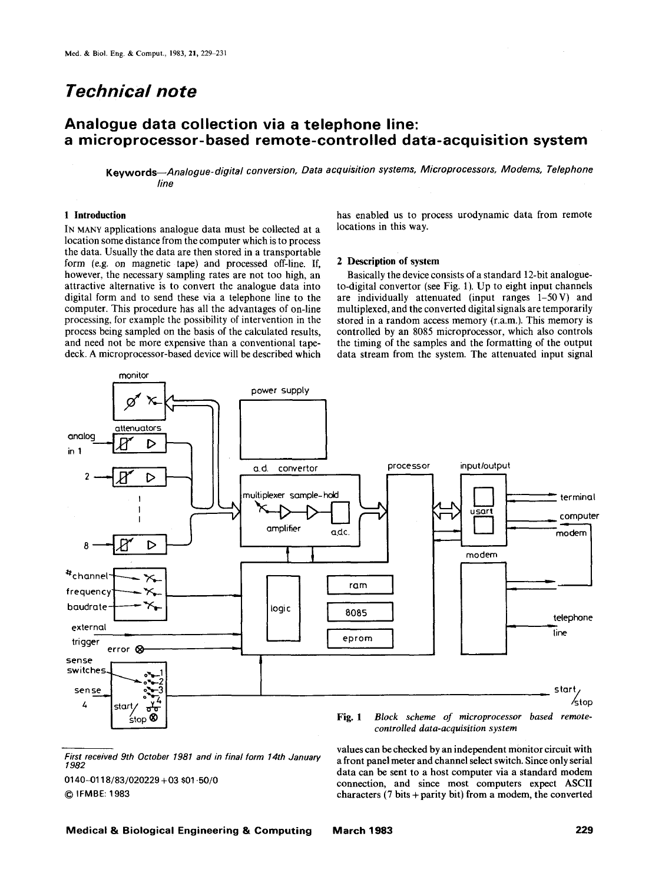# *Technical note*

monitor

# **Analogue data collection via a telephone line: a microprocessor-based remote-controlled data-acquisition system**

*Keywords--Analogue-digital conversion. Data acquisition systems. Microprocessors. Modems. Telephone line* 

#### **1 Introduction**

IN MANY applications analogue data must be collected at a location some distance from the computer which is to process the data. Usually the data are then stored in a transportable form (e.g. on magnetic tape) and processed off-line. If, however, the necessary sampling rates are not too high, an attractive alternative is to convert the analogue data into digital form and to send these via a telephone line to **the**  computer. This procedure has all the advantages of on-line processing, for example the possibility of intervention in the process being sampled on the basis of the calculated results, and need not be more expensive than a conventional tapedeck. A microprocessor-based device will be described which

has enabled us to process urodynamic data from remote locations in this way.

### **2 Description of system**

Basically the device consists of a standard 12-bit analogueto-digital convertor (see Fig. 1). Up to eight input channels are individually attenuated (input ranges 1-50V) and multiplexed, and the converted digital signals are temporarily stored in a random access memory (r.a.m.). This memory is controlled by an 8085 microprocessor, which also controls the timing of the samples and the formatting of the output data stream from the system. The attenuated input signal



*First received 9th October 1981 and in final form 14th January 1982* 

0140~)118/83/020229 +03 \$01.50/0 **9 IFMBE:** 1983

*controlled data-acquisition system*  values can be checked by an independent monitor circuit with

a front panel meter and channel select switch. Since only serial data can be sent to a host computer via a standard modem connection, and since most computers expect ASCII characters  $(7 \text{ bits} + \text{parity bit})$  from a modem, the converted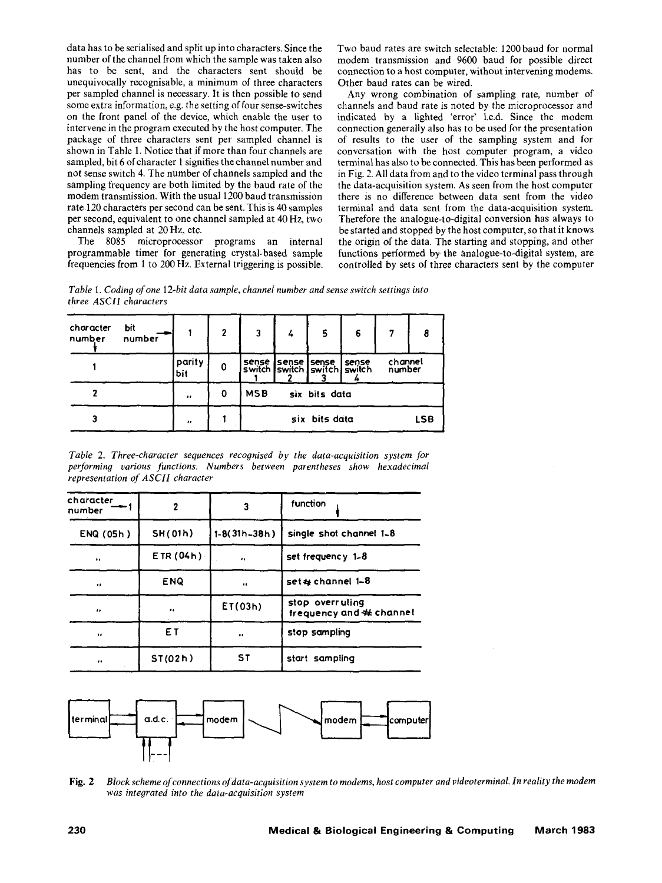data has to be serialised and split up into characters. Since the number of the channel from which the sample was taken also has to be sent, and the characters sent should be unequivocally recognisable, a minimum of three characters per sampled channel is necessary. It is then possible to send some extra information, e.g. the setting of four sense-switches on the front panel of the device, which enable the user to intervene in the program executed by the host computer. The package of three characters sent per sampled channel is shown in Table 1. Notice that if more than four channels are sampled, bit 6 of character 1 signifies the channel number and not sense switch 4. The number of channels sampled and the sampling frequency are both limited by the baud rate of the modem transmission. With the usual 1200 baud transmission rate 120 characters per second can be sent. This is 40 samples per second, equivalent to one channel sampled at 40 Hz, two channels sampled at 20 Hz, etc.

The 8085 microprocessor programs an internal programmable timer for generating crystal-based sample frequencies from 1 to 200 Hz. External triggering is possible. Two baud rates are switch selectable: 1200 baud for normal modem transmission and 9600 baud for possible direct connection to a host computer, without intervening modems. Other baud rates can be wired.

Any wrong combination of sampling rate, number of channels and baud rate is noted by the microprocessor and indicated by a lighted 'error' l.e.d. Since the modem connection generally also has to be used for the presentation of results to the user of the sampling system and for conversation with the host computer program, a video terminal has also to be connected. This has been performed as in Fig. 2. All data from and to the video terminal pass through the data-acquisition system. As seen from the host computer there is no difference between data sent from the video terminal and data sent from the data-acquisition system. Therefore the analogue-to-digital conversion has always to be started and stopped by the host computer, so that it knows the origin of the data. The starting and stopping, and other functions performed by. the analogue-to-digital system, are controlled by sets of three characters sent by the computer

*Table 1. Codin9 of one 12-bit data sample, channel number and sense switch settings into three ASCII characters* 

| character<br>number | Ыt<br>number |                  | $\mathbf{2}$ | 3                           | 4 | 5                                                           | 6 | 7                 | 8          |
|---------------------|--------------|------------------|--------------|-----------------------------|---|-------------------------------------------------------------|---|-------------------|------------|
|                     |              | parity<br>bit    | 0            |                             | ∍ | sense sense sense sense<br>switch switch switch switch<br>, |   | channel<br>number |            |
|                     |              | $\bullet\bullet$ | O            | <b>MSB</b><br>six bits data |   |                                                             |   |                   |            |
| 3                   |              |                  |              |                             |   | six bits data                                               |   |                   | <b>LSB</b> |

*Table 2. Three-character sequences recognised by the data-acquisition system Jor performing various functions. Numbers between parentheses show hexadecimal representation of ASCII character* 

| character<br>number  | 2          | 3              | function                                     |
|----------------------|------------|----------------|----------------------------------------------|
| ENQ (05h)            | SH(01h)    | $1-8(31h-38h)$ | single shot channel 1-8                      |
| $\ddot{\phantom{a}}$ | ETR(04h)   | $\bullet$      | set frequency $1-8$                          |
| $\bullet$            | <b>ENQ</b> | 16             | set & channel 1-8                            |
|                      |            | ET(03h)        | stop overruling<br>frequency and $#$ channel |
| $^{\bullet}$         | ET         |                | stop sampling                                |
| $\bullet$            | ST(02h)    | <b>ST</b>      | start sampling                               |



Fig. 2 *Block scheme of connections of data-acquisition system to modems, host computer and videoterminal. In reality the modem was integrated into the data-acquisition system*